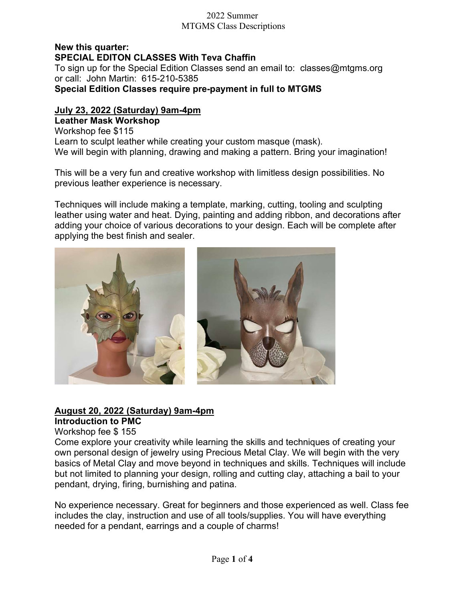#### New this quarter: SPECIAL EDITON CLASSES With Teva Chaffin To sign up for the Special Edition Classes send an email to: classes@mtgms.org or call: John Martin: 615-210-5385 Special Edition Classes require pre-payment in full to MTGMS

## July 23, 2022 (Saturday) 9am-4pm

Leather Mask Workshop Workshop fee \$115 Learn to sculpt leather while creating your custom masque (mask). We will begin with planning, drawing and making a pattern. Bring your imagination!

This will be a very fun and creative workshop with limitless design possibilities. No previous leather experience is necessary.

Techniques will include making a template, marking, cutting, tooling and sculpting leather using water and heat. Dying, painting and adding ribbon, and decorations after adding your choice of various decorations to your design. Each will be complete after applying the best finish and sealer.



# August 20, 2022 (Saturday) 9am-4pm

## Introduction to PMC

Workshop fee \$ 155

Come explore your creativity while learning the skills and techniques of creating your own personal design of jewelry using Precious Metal Clay. We will begin with the very basics of Metal Clay and move beyond in techniques and skills. Techniques will include but not limited to planning your design, rolling and cutting clay, attaching a bail to your pendant, drying, firing, burnishing and patina.

No experience necessary. Great for beginners and those experienced as well. Class fee includes the clay, instruction and use of all tools/supplies. You will have everything needed for a pendant, earrings and a couple of charms!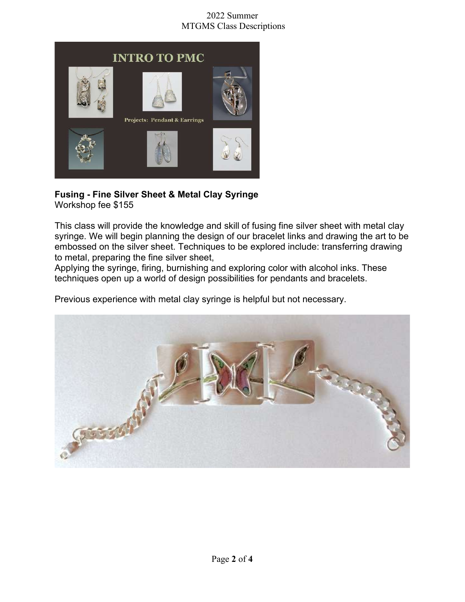

#### Fusing - Fine Silver Sheet & Metal Clay Syringe Workshop fee \$155

This class will provide the knowledge and skill of fusing fine silver sheet with metal clay syringe. We will begin planning the design of our bracelet links and drawing the art to be embossed on the silver sheet. Techniques to be explored include: transferring drawing to metal, preparing the fine silver sheet,

Applying the syringe, firing, burnishing and exploring color with alcohol inks. These techniques open up a world of design possibilities for pendants and bracelets.

Previous experience with metal clay syringe is helpful but not necessary.

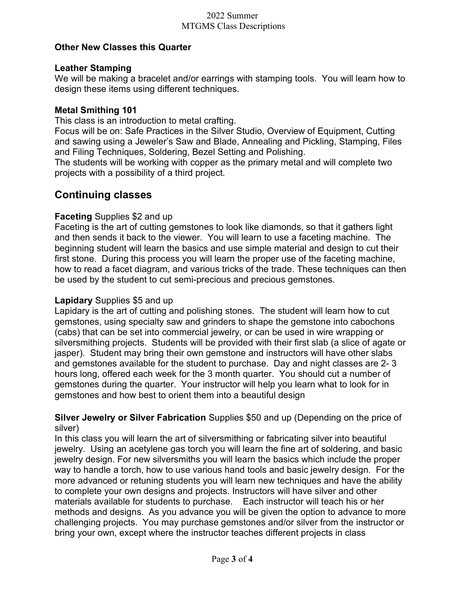## Other New Classes this Quarter

## Leather Stamping

We will be making a bracelet and/or earrings with stamping tools. You will learn how to design these items using different techniques.

## Metal Smithing 101

This class is an introduction to metal crafting.

Focus will be on: Safe Practices in the Silver Studio, Overview of Equipment, Cutting and sawing using a Jeweler's Saw and Blade, Annealing and Pickling, Stamping, Files and Filing Techniques, Soldering, Bezel Setting and Polishing.

The students will be working with copper as the primary metal and will complete two projects with a possibility of a third project.

# Continuing classes

## Faceting Supplies \$2 and up

Faceting is the art of cutting gemstones to look like diamonds, so that it gathers light and then sends it back to the viewer. You will learn to use a faceting machine. The beginning student will learn the basics and use simple material and design to cut their first stone. During this process you will learn the proper use of the faceting machine, how to read a facet diagram, and various tricks of the trade. These techniques can then be used by the student to cut semi-precious and precious gemstones.

#### Lapidary Supplies \$5 and up

Lapidary is the art of cutting and polishing stones. The student will learn how to cut gemstones, using specialty saw and grinders to shape the gemstone into cabochons (cabs) that can be set into commercial jewelry, or can be used in wire wrapping or silversmithing projects. Students will be provided with their first slab (a slice of agate or jasper). Student may bring their own gemstone and instructors will have other slabs and gemstones available for the student to purchase. Day and night classes are 2- 3 hours long, offered each week for the 3 month quarter. You should cut a number of gemstones during the quarter. Your instructor will help you learn what to look for in gemstones and how best to orient them into a beautiful design

## Silver Jewelry or Silver Fabrication Supplies \$50 and up (Depending on the price of silver)

In this class you will learn the art of silversmithing or fabricating silver into beautiful jewelry. Using an acetylene gas torch you will learn the fine art of soldering, and basic jewelry design. For new silversmiths you will learn the basics which include the proper way to handle a torch, how to use various hand tools and basic jewelry design. For the more advanced or retuning students you will learn new techniques and have the ability to complete your own designs and projects. Instructors will have silver and other materials available for students to purchase. Each instructor will teach his or her methods and designs. As you advance you will be given the option to advance to more challenging projects. You may purchase gemstones and/or silver from the instructor or bring your own, except where the instructor teaches different projects in class